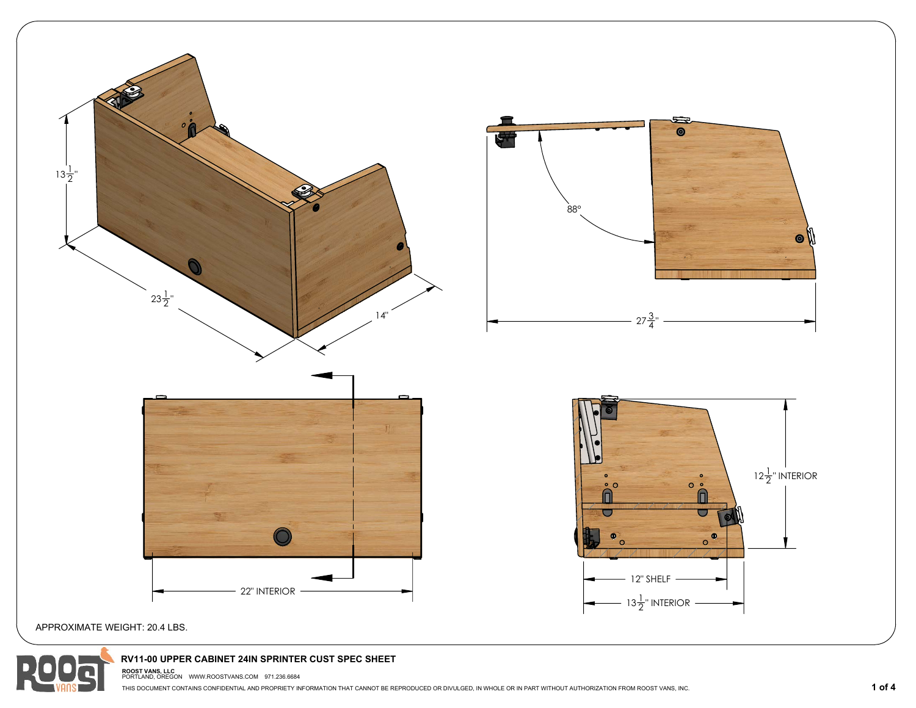



## **RV11-00 UPPER CABINET 24IN SPRINTER CUST SPEC SHEET**

**ROOST VANS, LLC**  PORTLAND, OREGON WWW.ROOSTVANS.COM 971.236.6684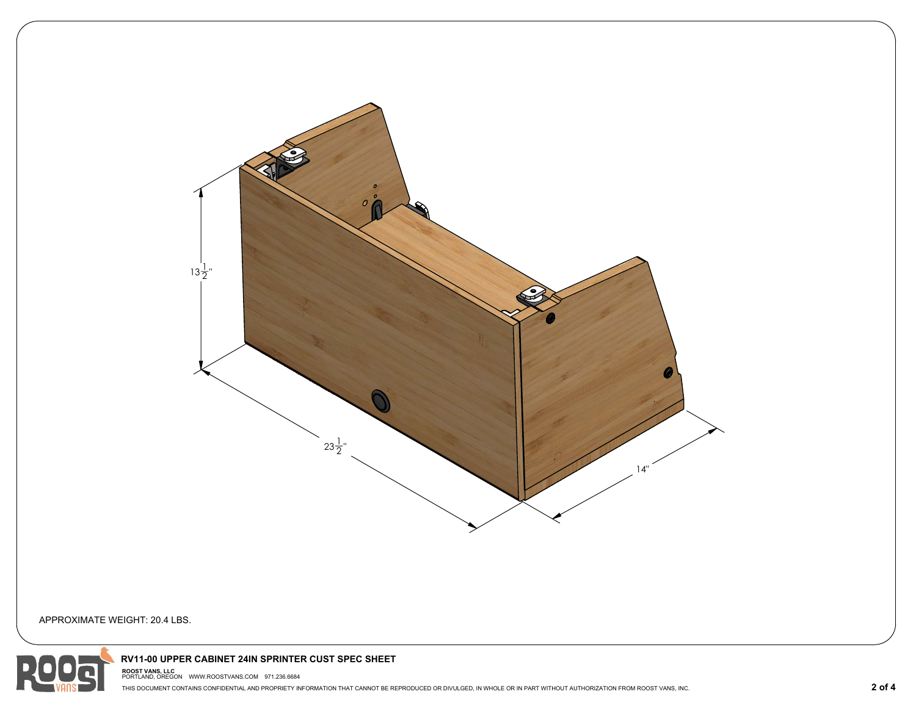

APPROXIMATE WEIGHT: 20.4 LBS.



## **RV11-00 UPPER CABINET 24IN SPRINTER CUST SPEC SHEET**

**ROOST VANS, LLC**  PORTLAND, OREGON WWW.ROOSTVANS.COM 971.236.6684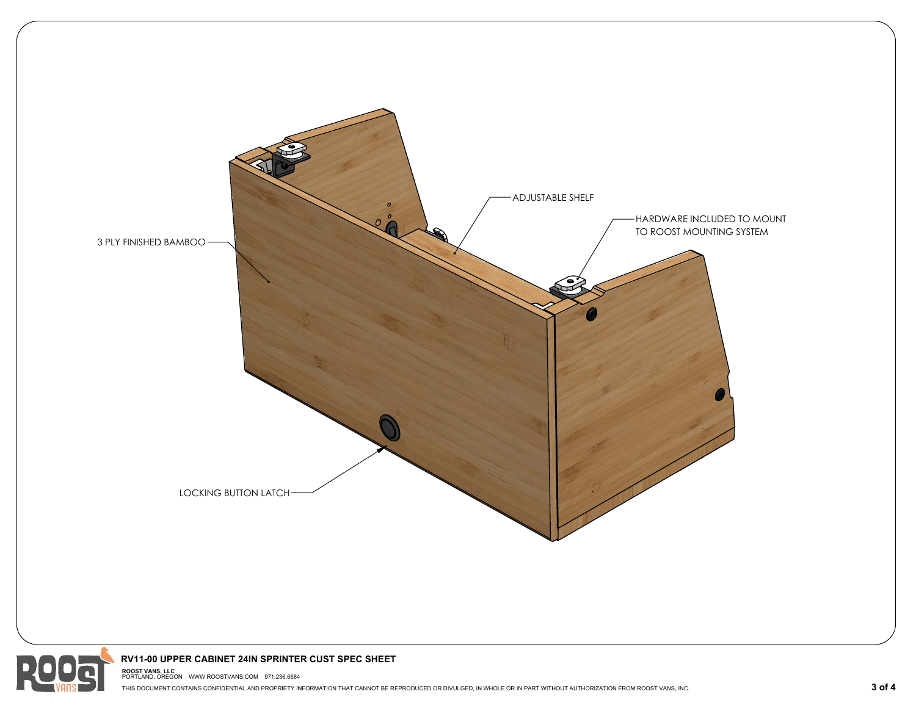



## **RV11-00 UPPER CABINET 24IN SPRINTER CUST SPEC SHEET**

**ROOST VANS, LLC**  PORTLAND, OREGON WWW.ROOSTVANS.COM 971.236.6684